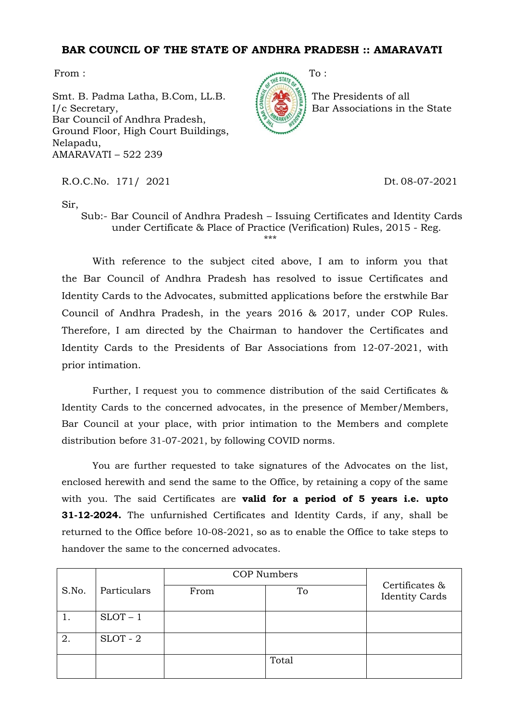## **BAR COUNCIL OF THE STATE OF ANDHRA PRADESH :: AMARAVATI**

Smt. B. Padma Latha, B.Com, LL.B. I/c Secretary, Bar Council of Andhra Pradesh, Ground Floor, High Court Buildings, Nelapadu, AMARAVATI – 522 239

From : To :

The Presidents of all Bar Associations in the State

R.O.C.No. 171/ 2021 Dt. 08-07-2021

Sir,

Sub:- Bar Council of Andhra Pradesh – Issuing Certificates and Identity Cards under Certificate & Place of Practice (Verification) Rules, 2015 - Reg. \*\*\*

With reference to the subject cited above, I am to inform you that the Bar Council of Andhra Pradesh has resolved to issue Certificates and Identity Cards to the Advocates, submitted applications before the erstwhile Bar Council of Andhra Pradesh, in the years 2016 & 2017, under COP Rules. Therefore, I am directed by the Chairman to handover the Certificates and Identity Cards to the Presidents of Bar Associations from 12-07-2021, with prior intimation.

Further, I request you to commence distribution of the said Certificates & Identity Cards to the concerned advocates, in the presence of Member/Members, Bar Council at your place, with prior intimation to the Members and complete distribution before 31-07-2021, by following COVID norms.

You are further requested to take signatures of the Advocates on the list, enclosed herewith and send the same to the Office, by retaining a copy of the same with you. The said Certificates are **valid for a period of 5 years i.e. upto 31-12-2024.** The unfurnished Certificates and Identity Cards, if any, shall be returned to the Office before 10-08-2021, so as to enable the Office to take steps to handover the same to the concerned advocates.

|       |             | <b>COP Numbers</b> |       |                                         |
|-------|-------------|--------------------|-------|-----------------------------------------|
| S.No. | Particulars | From               | To    | Certificates &<br><b>Identity Cards</b> |
|       | $SLOT - 1$  |                    |       |                                         |
| 2.    | $SLOT - 2$  |                    |       |                                         |
|       |             |                    | Total |                                         |